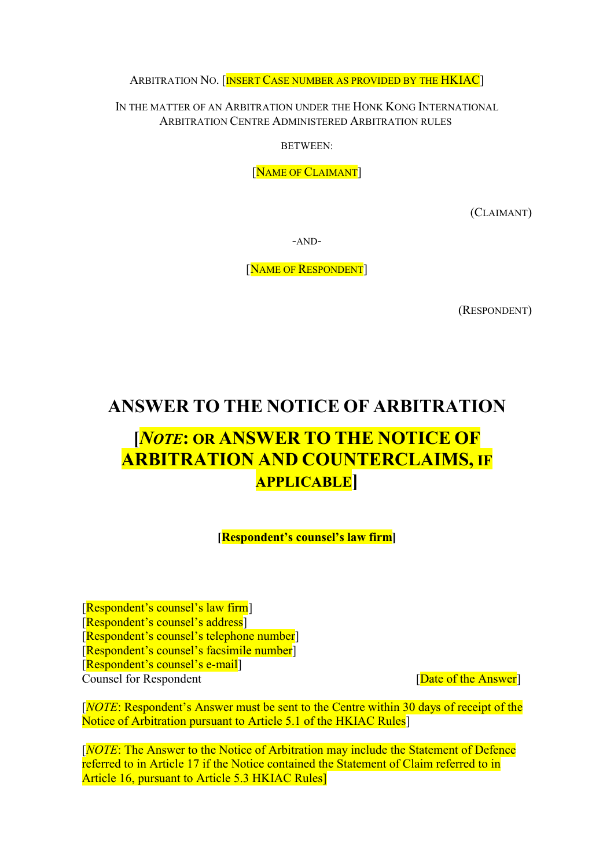ARBITRATION NO. [INSERT CASE NUMBER AS PROVIDED BY THE HKIAC]

IN THE MATTER OF AN ARBITRATION UNDER THE HONK KONG INTERNATIONAL ARBITRATION CENTRE ADMINISTERED ARBITRATION RULES

BETWEEN:

[NAME OF CLAIMANT]

(CLAIMANT)

-AND-

[NAME OF RESPONDENT]

(RESPONDENT)

# ANSWER TO THE NOTICE OF ARBITRATION

# [NOTE: OR ANSWER TO THE NOTICE OF ARBITRATION AND COUNTERCLAIMS, IF APPLICABLE]

[Respondent's counsel's law firm]

[Respondent's counsel's law firm] [Respondent's counsel's address] [Respondent's counsel's telephone number] [Respondent's counsel's facsimile number] [Respondent's counsel's e-mail] Counsel for Respondent **Counsel** for Respondent **Exercise** [Date of the Answer]

[NOTE: Respondent's Answer must be sent to the Centre within 30 days of receipt of the Notice of Arbitration pursuant to Article 5.1 of the HKIAC Rules

[NOTE: The Answer to the Notice of Arbitration may include the Statement of Defence referred to in Article 17 if the Notice contained the Statement of Claim referred to in Article 16, pursuant to Article 5.3 HKIAC Rules]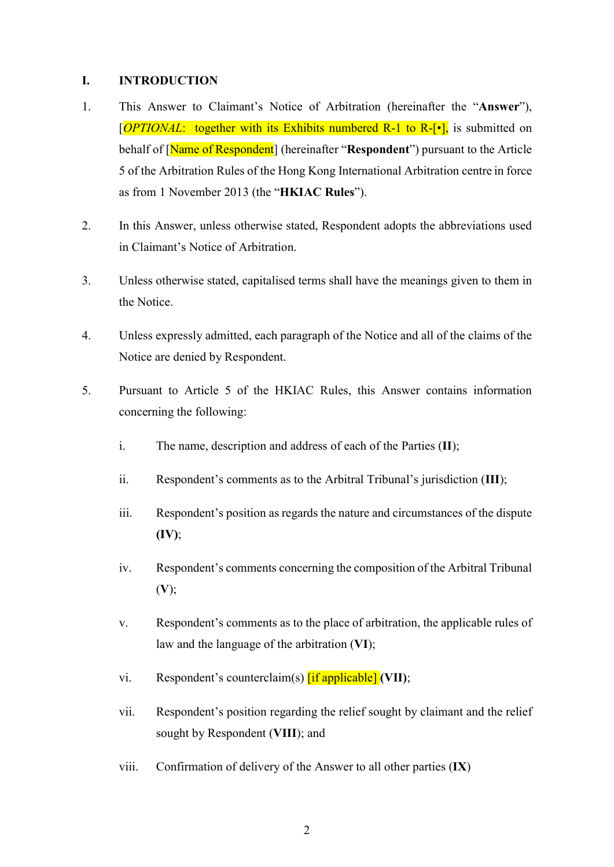#### I. INTRODUCTION

- 1. This Answer to Claimant's Notice of Arbitration (hereinafter the "Answer"),  $[OPTIONAL:$  together with its Exhibits numbered R-1 to R- $[\bullet]$ , is submitted on behalf of [Name of Respondent] (hereinafter "Respondent") pursuant to the Article 5 of the Arbitration Rules of the Hong Kong International Arbitration centre in force as from 1 November 2013 (the "HKIAC Rules").
- 2. In this Answer, unless otherwise stated, Respondent adopts the abbreviations used in Claimant's Notice of Arbitration.
- 3. Unless otherwise stated, capitalised terms shall have the meanings given to them in the Notice.
- 4. Unless expressly admitted, each paragraph of the Notice and all of the claims of the Notice are denied by Respondent.
- 5. Pursuant to Article 5 of the HKIAC Rules, this Answer contains information concerning the following:
	- i. The name, description and address of each of the Parties  $(II)$ :
	- ii. Respondent's comments as to the Arbitral Tribunal's jurisdiction (III);
	- iii. Respondent's position as regards the nature and circumstances of the dispute  $(IV);$
	- iv. Respondent's comments concerning the composition of the Arbitral Tribunal (V);
	- v. Respondent's comments as to the place of arbitration, the applicable rules of law and the language of the arbitration (VI);
	- vi. Respondent's counterclaim(s)  $\left[ \text{if applicable} \right]$  (VII);
	- vii. Respondent's position regarding the relief sought by claimant and the relief sought by Respondent (VIII); and
	- viii. Confirmation of delivery of the Answer to all other parties (IX)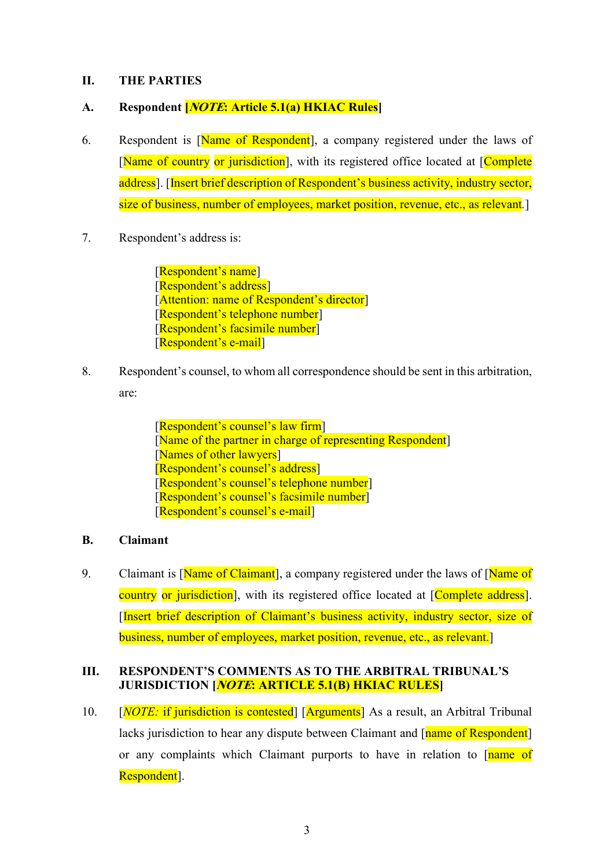#### II. THE PARTIES

#### A. Respondent *[NOTE*: Article 5.1(a) HKIAC Rules<sup>]</sup>

- 6. Respondent is [Name of Respondent], a company registered under the laws of [Name of country or jurisdiction], with its registered office located at [Complete] address]. [Insert brief description of Respondent's business activity, industry sector, size of business, number of employees, market position, revenue, etc., as relevant.
- 7. Respondent's address is:

[Respondent's name] [Respondent's address] [Attention: name of Respondent's director] [Respondent's telephone number] [Respondent's facsimile number] [Respondent's e-mail]

8. Respondent's counsel, to whom all correspondence should be sent in this arbitration, are:

> [Respondent's counsel's law firm] [Name of the partner in charge of representing Respondent] [Names of other lawyers] [Respondent's counsel's address] [Respondent's counsel's telephone number] [Respondent's counsel's facsimile number] [Respondent's counsel's e-mail]

#### B. Claimant

9. Claimant is [Name of Claimant], a company registered under the laws of [Name of country or jurisdiction], with its registered office located at [Complete address]. [Insert brief description of Claimant's business activity, industry sector, size of business, number of employees, market position, revenue, etc., as relevant.]

#### III. RESPONDENT'S COMMENTS AS TO THE ARBITRAL TRIBUNAL'S JURISDICTION [NOTE: ARTICLE 5.1(B) HKIAC RULES]

10. [*NOTE:* if jurisdiction is contested] [Arguments] As a result, an Arbitral Tribunal lacks jurisdiction to hear any dispute between Claimant and [name of Respondent] or any complaints which Claimant purports to have in relation to [name of Respondent].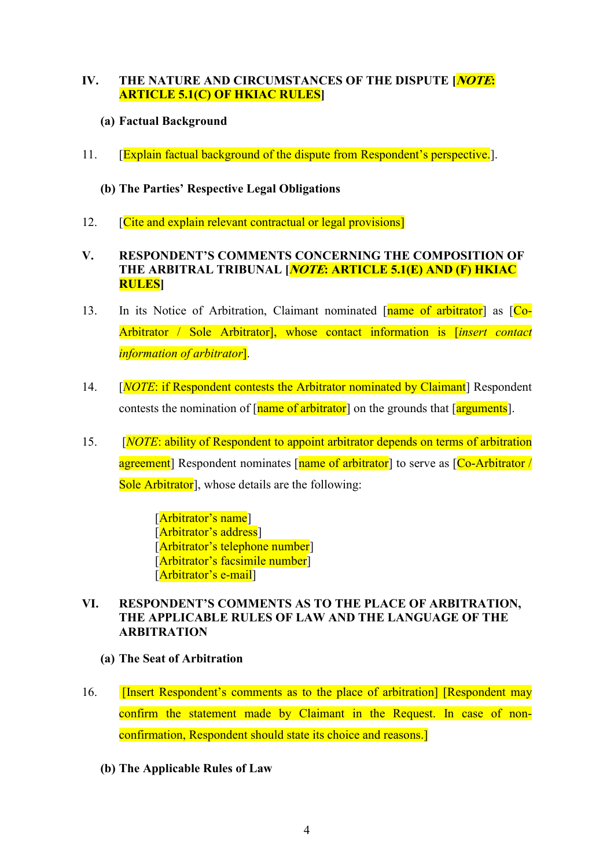### IV. THE NATURE AND CIRCUMSTANCES OF THE DISPUTE [*NOTE*: ARTICLE 5.1(C) OF HKIAC RULES]

# (a) Factual Background

11. **[Explain factual background of the dispute from Respondent's perspective.**].

# (b) The Parties' Respective Legal Obligations

12. **Cite and explain relevant contractual or legal provisions** 

## V. RESPONDENT'S COMMENTS CONCERNING THE COMPOSITION OF THE ARBITRAL TRIBUNAL *[NOTE*: ARTICLE 5.1(E) AND (F) HKIAC RULES]

- 13. In its Notice of Arbitration, Claimant nominated [name of arbitrator] as [Co-Arbitrator / Sole Arbitrator], whose contact information is *[insert contact* information of arbitrator].
- 14. [*NOTE*: if Respondent contests the Arbitrator nominated by Claimant] Respondent contests the nomination of  $\lceil$  name of arbitrator  $\rceil$  on the grounds that  $\lceil$  arguments  $\rceil$ .
- 15. [NOTE: ability of Respondent to appoint arbitrator depends on terms of arbitration agreement] Respondent nominates [name of arbitrator] to serve as [Co-Arbitrator / Sole Arbitrator<sup>]</sup>, whose details are the following:

[Arbitrator's name] [Arbitrator's address] [Arbitrator's telephone number] [Arbitrator's facsimile number] [Arbitrator's e-mail]

## VI. RESPONDENT'S COMMENTS AS TO THE PLACE OF ARBITRATION, THE APPLICABLE RULES OF LAW AND THE LANGUAGE OF THE ARBITRATION

- (a) The Seat of Arbitration
- 16. **I** [Insert Respondent's comments as to the place of arbitration] [Respondent may confirm the statement made by Claimant in the Request. In case of nonconfirmation, Respondent should state its choice and reasons.]
	- (b) The Applicable Rules of Law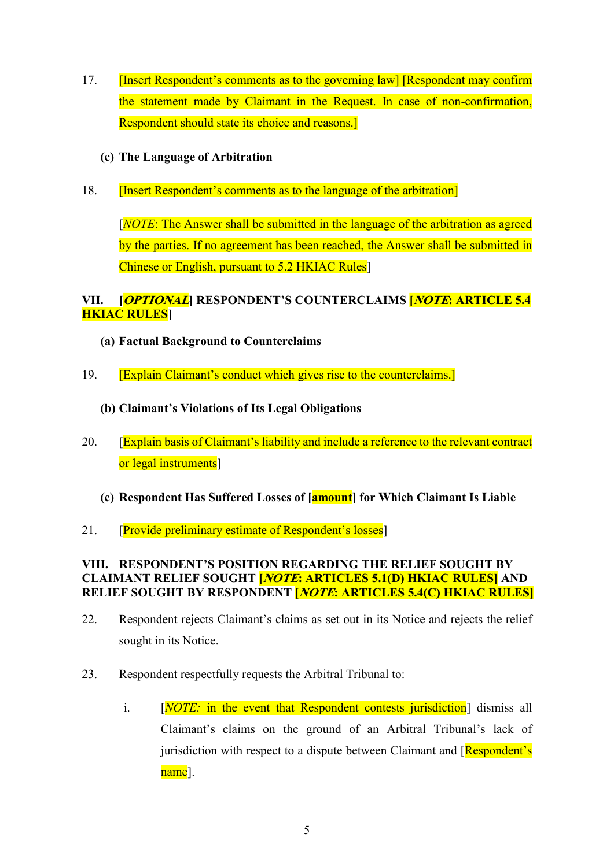17. **[Insert Respondent's comments as to the governing law] [Respondent may confirm** the statement made by Claimant in the Request. In case of non-confirmation, Respondent should state its choice and reasons.]

### (c) The Language of Arbitration

18. [Insert Respondent's comments as to the language of the arbitration]

 $[NOTE: The Answer shall be submitted in the language of the arbitrary as agreed$ by the parties. If no agreement has been reached, the Answer shall be submitted in Chinese or English, pursuant to 5.2 HKIAC Rules]

# VII. [OPTIONAL] RESPONDENT'S COUNTERCLAIMS **[NOTE: ARTICLE 5.4**] **HKIAC RULES**I

- (a) Factual Background to Counterclaims
- 19. [Explain Claimant's conduct which gives rise to the counterclaims.]
	- (b) Claimant's Violations of Its Legal Obligations
- 20. [Explain basis of Claimant's liability and include a reference to the relevant contract or legal instruments]
	- (c) Respondent Has Suffered Losses of [amount] for Which Claimant Is Liable
- 21. **[Provide preliminary estimate of Respondent's losses]**

#### VIII. RESPONDENT'S POSITION REGARDING THE RELIEF SOUGHT BY CLAIMANT RELIEF SOUGHT *[NOTE*: ARTICLES 5.1(D) HKIAC RULES] AND RELIEF SOUGHT BY RESPONDENT *[NOTE*: ARTICLES 5.4(C) HKIAC RULES]

- 22. Respondent rejects Claimant's claims as set out in its Notice and rejects the relief sought in its Notice.
- 23. Respondent respectfully requests the Arbitral Tribunal to:
	- i. [NOTE: in the event that Respondent contests jurisdiction] dismiss all Claimant's claims on the ground of an Arbitral Tribunal's lack of jurisdiction with respect to a dispute between Claimant and [Respondent's] name].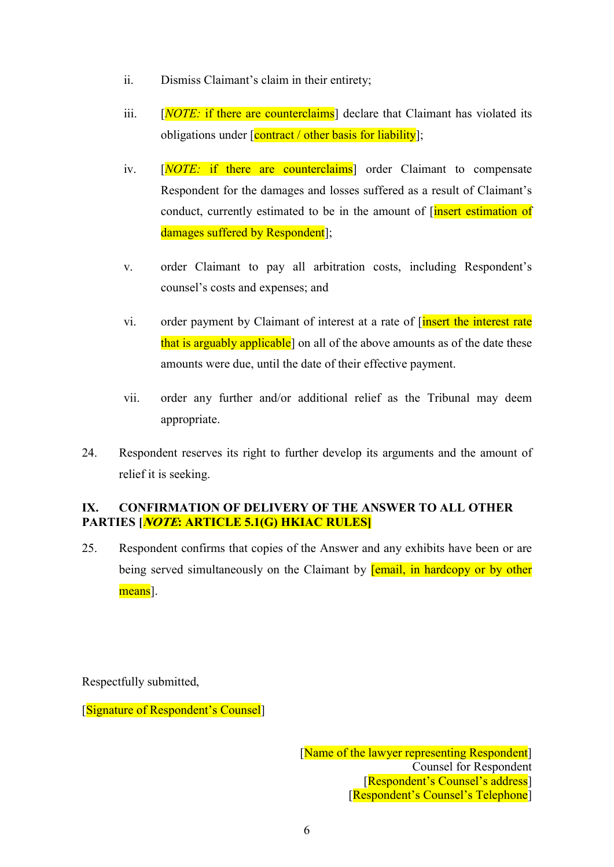- ii. Dismiss Claimant's claim in their entirety;
- iii.  $[NOTE:$  if there are counterclaims declare that Claimant has violated its obligations under  $\sqrt{\frac{\text{contract}}{\text{}}$  other basis for liability];
- iv. [NOTE: if there are counterclaims] order Claimant to compensate Respondent for the damages and losses suffered as a result of Claimant's conduct, currently estimated to be in the amount of *[insert estimation of* damages suffered by Respondent];
- v. order Claimant to pay all arbitration costs, including Respondent's counsel's costs and expenses; and
- vi. order payment by Claimant of interest at a rate of *[insert the interest rate* that is arguably applicable<sup>]</sup> on all of the above amounts as of the date these amounts were due, until the date of their effective payment.
- vii. order any further and/or additional relief as the Tribunal may deem appropriate.
- 24. Respondent reserves its right to further develop its arguments and the amount of relief it is seeking.

## IX. CONFIRMATION OF DELIVERY OF THE ANSWER TO ALL OTHER PARTIES [*NOTE*: ARTICLE 5.1(G) HKIAC RULES]

25. Respondent confirms that copies of the Answer and any exhibits have been or are being served simultaneously on the Claimant by **[email, in hardcopy or by other** means<sup>1</sup>.

Respectfully submitted,

[Signature of Respondent's Counsel]

[Name of the lawyer representing Respondent] Counsel for Respondent [Respondent's Counsel's address] [Respondent's Counsel's Telephone]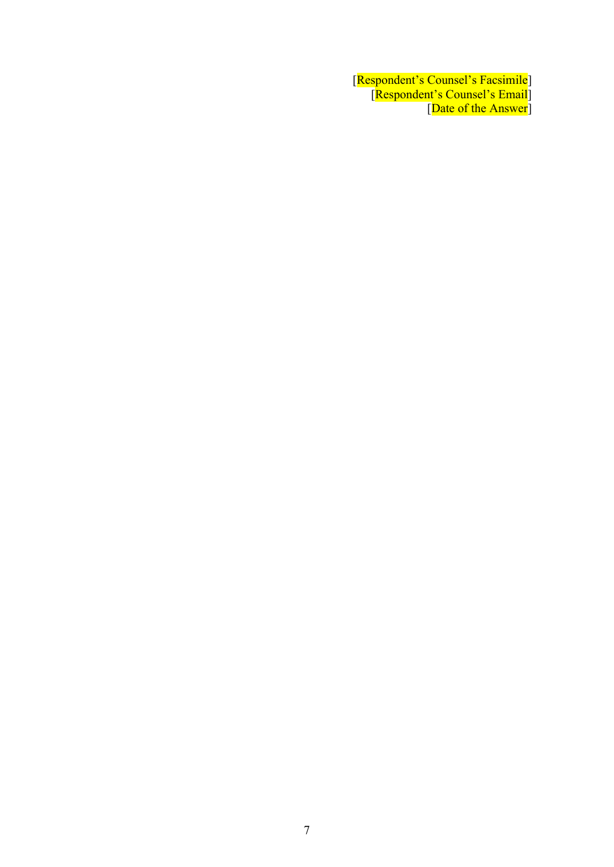[Respondent's Counsel's Facsimile] [Respondent's Counsel's Email] [Date of the Answer]